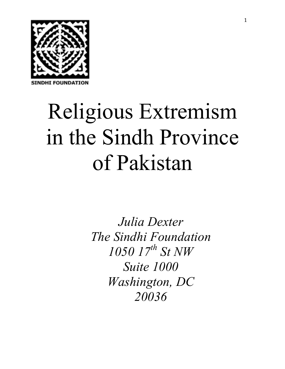

# Religious Extremism in the Sindh Province of Pakistan

*Julia Dexter The Sindhi Foundation 1050 17th St NW Suite 1000 Washington, DC 20036*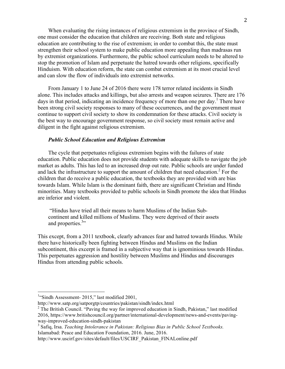When evaluating the rising instances of religious extremism in the province of Sindh, one must consider the education that children are receiving. Both state and religious education are contributing to the rise of extremism; in order to combat this, the state must strengthen their school system to make public education more appealing than madrasas run by extremist organizations. Furthermore, the public school curriculum needs to be altered to stop the promotion of Islam and perpetuate the hatred towards other religions, specifically Hinduism. With education reform, the state can combat extremism at its most crucial level and can slow the flow of individuals into extremist networks.

From January 1 to June 24 of 2016 there were 178 terror related incidents in Sindh alone. This includes attacks and killings, but also arrests and weapon seizures. There are 176 days in that period, indicating an incidence frequency of more than one per day.<sup>1</sup> There have been strong civil society responses to many of these occurrences, and the government must continue to support civil society to show its condemnation for these attacks. Civil society is the best way to encourage government response, so civil society must remain active and diligent in the fight against religious extremism.

# *Public School Education and Religious Extremism*

The cycle that perpetuates religious extremism begins with the failures of state education. Public education does not provide students with adequate skills to navigate the job market as adults. This has led to an increased drop out rate. Public schools are under funded and lack the infrastructure to support the amount of children that need education.<sup>2</sup> For the children that do receive a public education, the textbooks they are provided with are bias towards Islam. While Islam is the dominant faith, there are significant Christian and Hindu minorities. Many textbooks provided to public schools in Sindh promote the idea that Hindus are inferior and violent.

"Hindus have tried all their means to harm Muslims of the Indian Subcontinent and killed millions of Muslims. They were deprived of their assets and properties.<sup>3</sup>

This except, from a 2011 textbook, clearly advances fear and hatred towards Hindus. While there have historically been fighting between Hindus and Muslims on the Indian subcontinent, this excerpt is framed in a subjective way that is ignominious towards Hindus. This perpetuates aggression and hostility between Muslims and Hindus and discourages Hindus from attending public schools.

<sup>&</sup>lt;sup>1</sup>"Sindh Assessment- 2015," last modified 2001,

http://www.satp.org/satporgtp/countries/pakistan/sindh/index.html

 $2$  The British Council. "Paving the way for improved education in Sindh, Pakistan," last modified 2016, https://www.britishcouncil.org/partner/international-development/news-and-events/pavingway-improved-education-sindh-pakistan

<sup>3</sup> Safiq, Irsa. *Teaching Intolerance in Pakistan: Religious Bias in Public School Textbooks.*  Islamabad: Peace and Education Foundation, 2016. June, 2016.

http://www.uscirf.gov/sites/default/files/USCIRF\_Pakistan\_FINALonline.pdf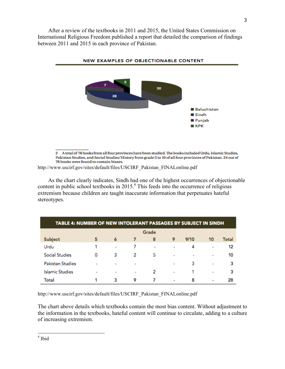After a review of the textbooks in 2011 and 2015, the United States Commission on International Religious Freedom published a report that detailed the comparison of findings between 2011 and 2015 in each province of Pakistan.



2 A total of 78 books from all four provinces have been studied. The books included Urdu, Islamic Studies, Pakistan Studies, and Social Studies/History from grade 5 to 10 of all four provinces of Pakistan. 24 out of 78 books were found to contain biases.

http://www.uscirf.gov/sites/default/files/USCIRF\_Pakistan\_FINALonline.pdf

As the chart clearly indicates, Sindh had one of the highest occurrences of objectionable content in public school textbooks in 2015. <sup>4</sup> This feeds into the occurrence of religious extremism because children are taught inaccurate information that perpetuates hateful stereotypes.

| TABLE 4: NUMBER OF NEW INTOLERANT PASSAGES BY SUBJECT IN SINDH |                |                |                   |        |                              |                |                   |       |
|----------------------------------------------------------------|----------------|----------------|-------------------|--------|------------------------------|----------------|-------------------|-------|
|                                                                | Grade          |                |                   |        |                              |                |                   |       |
| Subject                                                        | 5              | 6              | 7                 | 8      | 9                            | 9/10           | 10                | Total |
| Urdu                                                           |                | $\blacksquare$ | 7                 | $\sim$ | ٠                            | 4              | $\qquad \qquad =$ | 12    |
| <b>Social Studies</b>                                          | 0              | з              | 2                 | 5      | $\qquad \qquad \blacksquare$ | $\blacksquare$ | ٠                 | 10    |
| <b>Pakistan Studies</b>                                        | $\blacksquare$ | $\blacksquare$ | $\qquad \qquad =$ |        | $\qquad \qquad =$            | 3              | $\qquad \qquad =$ | з     |
| <b>Islamic Studies</b>                                         | $\blacksquare$ | $\blacksquare$ | $\qquad \qquad =$ | 2      | $\qquad \qquad =$            |                | $\blacksquare$    | 3     |
| Total                                                          |                | 3              | 9                 |        | ٠                            | 8              | ۰                 | 28    |

http://www.uscirf.gov/sites/default/files/USCIRF\_Pakistan\_FINALonline.pdf

The chart above details which textbooks contain the most bias content. Without adjustment to the information in the textbooks, hateful content will continue to circulate, adding to a culture of increasing extremism.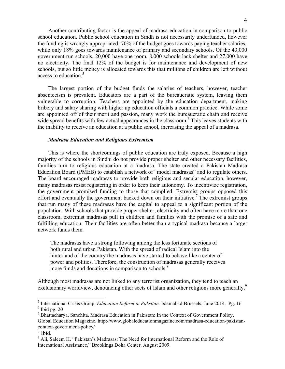Another contributing factor is the appeal of madrasa education in comparison to public school education. Public school education in Sindh is not necessarily underfunded, however the funding is wrongly appropriated; 70% of the budget goes towards paying teacher salaries, while only 18% goes towards maintenance of primary and secondary schools. Of the 43,000 government run schools, 20,000 have one room, 8,000 schools lack shelter and 27,000 have no electricity. The final 12% of the budget is for maintenance and development of new schools, but so little money is allocated towards this that millions of children are left without access to education  $\frac{5}{5}$ 

The largest portion of the budget funds the salaries of teachers, however, teacher absenteeism is prevalent. Educators are a part of the bureaucratic system, leaving them vulnerable to corruption. Teachers are appointed by the education department, making bribery and salary sharing with higher up education officials a common practice. While some are appointed off of their merit and passion, many work the bureaucratic chain and receive wide spread benefits with few actual appearances in the classroom.<sup>6</sup> This leaves students with the inability to receive an education at a public school, increasing the appeal of a madrasa.

# *Madrasa Education and Religious Extremism*

This is where the shortcomings of public education are truly exposed. Because a high majority of the schools in Sindhi do not provide proper shelter and other necessary facilities, families turn to religious education at a madrasa. The state created a Pakistan Madrasa Education Board (PMEB) to establish a network of "model madrasas" and to regulate others. The board encouraged madrasas to provide both religious and secular education, however, many madrasas resist registering in order to keep their autonomy. To incentivize registration, the government promised funding to those that complied. Extremist groups opposed this effort and eventually the government backed down on their initiative.<sup>7</sup> The extremist groups that run many of these madrasas have the capital to appeal to a significant portion of the population. With schools that provide proper shelter, electricity and often have more than one classroom, extremist madrasas pull in children and families with the promise of a safe and fulfilling education. Their facilities are often better than a typical madrasa because a larger network funds them.

The madrasas have a strong following among the less fortunate sections of both rural and urban Pakistan. With the spread of radical Islam into the hinterland of the country the madrasas have started to behave like a center of power and politics. Therefore, the construction of madrasas generally receives more funds and donations in comparison to schools.<sup>8</sup>

Although most madrasas are not linked to any terrorist organization, they tend to teach an exclusionary worldview, denouncing other sects of Islam and other religions more generally.<sup>9</sup>

 

<sup>5</sup> International Crisis Group, *Education Reform in Paksitan.* Islamabad:Brussels. June 2014. Pg. 16  $6$  Ibid pg. 20

 $<sup>7</sup>$  Bhattacharya, Sanchita. Madrasa Education in Pakistan: In the Context of Government Policy,</sup> Global Education Magazine. http://www.globaleducationmagazine.com/madrasa-education-pakistancontext-government-policy/

<sup>8</sup> Ibid.

<sup>&</sup>lt;sup>9</sup> Ali, Saleem H. "Pakistan's Madrasas: The Need for International Reform and the Role of International Assistance," Brookings Doha Center. August 2009.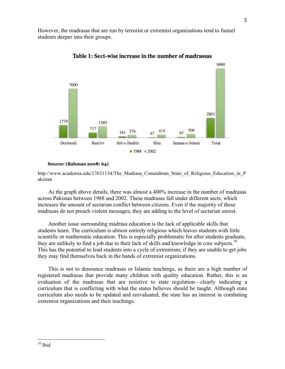However, the madrasas that are run by terrorist or extremist organizations tend to funnel students deeper into their groups.



# Table 1: Sect-wise increase in the number of madrassas

### Source: (Rahman 2008: 64)

http://www.academia.edu/17631134/The Madrasa Conundrum State of Religious Education in P akistan

As the graph above details, there was almost a 400% increase in the number of madrasas across Pakistan between 1988 and 2002. These madrasas fall under different sects, which increases the amount of sectarian conflict between citizens. Even if the majority of these madrasas do not preach violent messages, they are adding to the level of sectarian unrest.

Another issue surrounding madrasa education is the lack of applicable skills that students learn. The curriculum is almost entirely religious which leaves students with little scientific or mathematic education. This is especially problematic for after students graduate, they are unlikely to find a job due to their lack of skills and knowledge in core subjects.<sup>10</sup> This has the potential to lead students into a cycle of extremism; if they are unable to get jobs they may find themselves back in the hands of extremist organizations.

This is not to denounce madrasas or Islamic teachings, as there are a high number of registered madrasas that provide many children with quality education. Rather, this is an evaluation of the madrasas that are resistive to state regulation—clearly indicating a curriculum that is conflicting with what the states believes should be taught. Although state curriculum also needs to be updated and reevaluated, the state has an interest in combating extremist organizations and their teachings.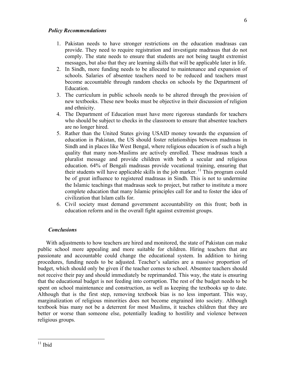# *Policy Recommendations*

- 1. Pakistan needs to have stronger restrictions on the education madrasas can provide. They need to require registration and investigate madrasas that do not comply. The state needs to ensure that students are not being taught extremist messages, but also that they are learning skills that will be applicable later in life.
- 2. In Sindh, more funding needs to be allocated to maintenance and expansion of schools. Salaries of absentee teachers need to be reduced and teachers must become accountable through random checks on schools by the Department of Education.
- 3. The curriculum in public schools needs to be altered through the provision of new textbooks. These new books must be objective in their discussion of religion and ethnicity.
- 4. The Department of Education must have more rigorous standards for teachers who should be subject to checks in the classroom to ensure that absentee teachers are no longer hired.
- 5. Rather than the United States giving USAID money towards the expansion of education in Pakistan, the US should foster relationships between madrasas in Sindh and in places like West Bengal, where religious education is of such a high quality that many non-Muslims are actively enrolled. These madrasas teach a pluralist message and provide children with both a secular and religious education. 64% of Bengali madrasas provide vocational training, ensuring that their students will have applicable skills in the job marker.<sup>11</sup> This program could be of great influence to registered madrasas in Sindh. This is not to undermine the Islamic teachings that madrasas seek to project, but rather to institute a more complete education that many Islamic principles call for and to foster the idea of civilization that Islam calls for.
- 6. Civil society must demand government accountability on this front; both in education reform and in the overall fight against extremist groups.

# *Conclusions*

With adjustments to how teachers are hired and monitored, the state of Pakistan can make public school more appealing and more suitable for children. Hiring teachers that are passionate and accountable could change the educational system. In addition to hiring procedures, funding needs to be adjusted. Teacher's salaries are a massive proportion of budget, which should only be given if the teacher comes to school. Absentee teachers should not receive their pay and should immediately be reprimanded. This way, the state is ensuring that the educational budget is not feeding into corruption. The rest of the budget needs to be spent on school maintenance and construction, as well as keeping the textbooks up to date. Although that is the first step, removing textbook bias is no less important. This way, marginalization of religious minorities does not become engrained into society. Although textbook bias many not be a deterrent for most Muslims, it teaches children that they are better or worse than someone else, potentially leading to hostility and violence between religious groups.